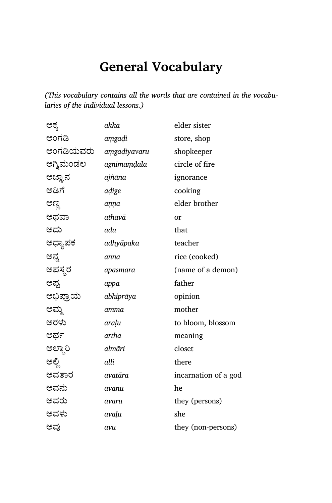*(This vocabulary contains all the words that are contained in the vocabularies of the individual lessons.)*

| ಅಕ್ಕ      | akka         | elder sister         |
|-----------|--------------|----------------------|
| ಅಂಗಡಿ     | amgadi       | store, shop          |
| ಅಂಗಡಿಯವರು | amgadiyavaru | shopkeeper           |
| ಅಗ್ನಿಮಂಡಲ | agnimamdala  | circle of fire       |
| ಅಜ್ಞಾನ    | ajñāna       | ignorance            |
| ಅಡಿಗೆ     | aḍige        | cooking              |
| ಅಣ್ಣ      | aṇṇa         | elder brother        |
| ಅಥವಾ      | athavā       | or                   |
| ಆದು       | adu          | that                 |
| ಅಧ್ಯಾಪಕ   | adhyāpaka    | teacher              |
| ಅನ್ನ      | anna         | rice (cooked)        |
| ಅಪಸ್ಥರ    | apasmara     | (name of a demon)    |
| ಅಪ್ಪ      | appa         | father               |
| ಅಭಿಪ್ರಾಯ  | abhiprāya    | opinion              |
| ಅಮ್ಮ      | amma         | mother               |
| ಅರಳು      | araḷu        | to bloom, blossom    |
| ಅರ್ಥ      | artha        | meaning              |
| ಅಲ್ಮಾರಿ   | almāri       | closet               |
| ಅಲ್ಲಿ     | alli         | there                |
| ಅವತಾರ     | avatāra      | incarnation of a god |
| ಅವನು      | avanu        | he                   |
| ಅವರು      | avaru        | they (persons)       |
| ಅವಳು      | avaļu        | she                  |
| ಅವು       | avu          | they (non-persons)   |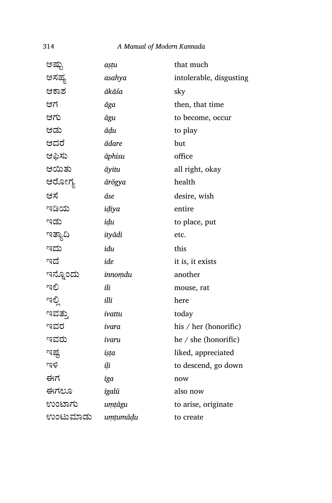| ಅಷ್ಟು    | așțu     | that much               |
|----------|----------|-------------------------|
| ಅಸಹ್ಯ    | asahya   | intolerable, disgusting |
| ಆಕಾಶ     | ākāśa    | sky                     |
| ಆಗ       | āga      | then, that time         |
| ಆಗು      | āgu      | to become, occur        |
| ಆಡು      | ādu      | to play                 |
| ಆದರೆ     | ādare    | but                     |
| ಆಫಿಸು    | āphisu   | office                  |
| ಆಯಿತು    | āyitu    | all right, okay         |
| ಆರೋಗ್ಯ   | ārōgya   | health                  |
| ಆಸೆ      | āse      | desire, wish            |
| ಇಡಿಯ     | idiya    | entire                  |
| ಇಡು      | idu      | to place, put           |
| ಇತ್ಯಾದಿ  | ityādi   | etc.                    |
| ಇದು      | idu      | this                    |
| ಇದೆ      | ide      | it is, it exists        |
| ಇನ್ನೊಂದು | innomdu  | another                 |
| ಇಲಿ      | ili      | mouse, rat              |
| ಇಲ್ಲಿ    | illi     | here                    |
| ಇವತ್ತು   | ivattu   | today                   |
| ಇವರ      | ivara    | his / her (honorific)   |
| ಇವರು     | ivaru    | he / she (honorific)    |
| ಇಷ್ಟ     | ista     | liked, appreciated      |
| ುಕಿ      | ili      | to descend, go down     |
| ಈಗ       | īga      | now                     |
| ಈಗಲೂ     | īgalū    | also now                |
| ಉಂಟಾಗು   | umtāgu   | to arise, originate     |
| ಉಂಟುಮಾಡು | uṃṭumāḍu | to create               |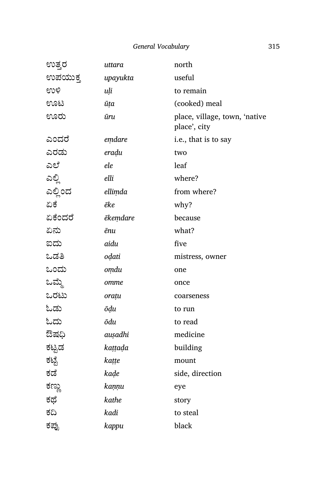| ಉತ್ತರ   | uttara   | north                                         |
|---------|----------|-----------------------------------------------|
| ಉಪಯುಕ್ತ | upayukta | useful                                        |
| ಉಳಿ     | uļi      | to remain                                     |
| ಊಟ      | ūța      | (cooked) meal                                 |
| ಊರು     | ūru      | place, village, town, 'native<br>place', city |
| ಎಂದರೆ   | emdare   | i.e., that is to say                          |
| ಎರಡು    | eradu    | two                                           |
| ಎಲೆ     | ele      | leaf                                          |
| ಎಲ್ಲಿ   | elli     | where?                                        |
| ಎಲ್ಲಿಂದ | ellimda  | from where?                                   |
| ಏಕೆ     | ēke      | why?                                          |
| ಏಕೆಂದರೆ | ēkemdare | because                                       |
| ಏನು     | ēпи      | what?                                         |
| ಐದು     | aidu     | five                                          |
| ಒಡತಿ    | odati    | mistress, owner                               |
| ಒಂದು    | omdu     | one                                           |
| ಒಮ್ಮೆ   | omme     | once                                          |
| ಒರಟು    | orațu    | coarseness                                    |
| ಓಡು     | ōḍu      | to run                                        |
| ಓದು     | ōdu      | to read                                       |
| ಔಷಧಿ    | auşadhi  | medicine                                      |
| ಕಟ್ಟಡ   | kaṭṭaḍa  | building                                      |
| ಕಟ್ಟೆ   | kaṭṭe    | mount                                         |
| ಕಡೆ     | kaḍe     | side, direction                               |
| ಕಣ್ಣು   | kaṇṇu    | eye                                           |
| ಕಥೆ     | kathe    | story                                         |
| ಕದಿ     | kadi     | to steal                                      |
| ಕಪ್ಪು   | kappu    | black                                         |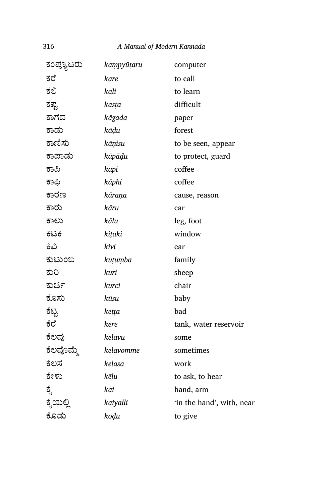| ಕಂಪ್ಯೂಟರು | kampyūțaru | computer                  |
|-----------|------------|---------------------------|
| ಕರೆ       | kare       | to call                   |
| ಕಲಿ       | kali       | to learn                  |
| ಕಷ್ಟ      | kasta      | difficult                 |
| ಕಾಗದ      | kāgada     | paper                     |
| ಕಾಡು      | kāḍu       | forest                    |
| ಕಾಣಿಸು    | kāņisu     | to be seen, appear        |
| ಕಾಪಾಡು    | kāpāḍu     | to protect, guard         |
| ಕಾಪಿ      | kāpi       | coffee                    |
| ಕಾಫಿ      | kāphi      | coffee                    |
| ಕಾರಣ      | kāraṇa     | cause, reason             |
| ಕಾರು      | kāru       | car                       |
| ಕಾಲು      | kālu       | leg, foot                 |
| ಕಿಟಕಿ     | kițaki     | window                    |
| ಕಿವಿ      | kivi       | ear                       |
| ಕುಟುಂಬ    | kutumba    | family                    |
| ಕುರಿ      | kuri       | sheep                     |
| ಕುರ್ಚಿ    | kurci      | chair                     |
| ಕೂಸು      | kūsu       | baby                      |
| ಕೆಟ್ಟ     | keṭṭa      | bad                       |
| ಕೆರೆ      | kere       | tank, water reservoir     |
| ಕೆಲವು     | kelavu     | some                      |
| ಕೆಲವೊಮ್ಮೆ | kelavomme  | sometimes                 |
| ಕೆಲಸ      | kelasa     | work                      |
| ಕೇಳು      | kēļu       | to ask, to hear           |
| ಕ್ಕೆ      | kai        | hand, arm                 |
| ಕೈಯಲ್ಲಿ   | kaiyalli   | 'in the hand', with, near |
| ಕೊಡು      | kodu       | to give                   |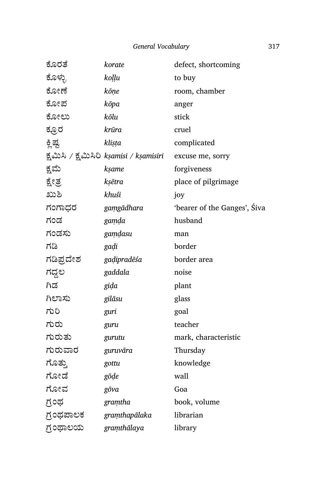| ಕೊರತೆ     | korate                                  | defect, shortcoming          |
|-----------|-----------------------------------------|------------------------------|
| ಕೊಳ್ಳು    | koļļu                                   | to buy                       |
| ಕೋಣೆ      | kōņe                                    | room, chamber                |
| ಕೋಪ       | kōpa                                    | anger                        |
| ಕೋಲು      | kōlu                                    | stick                        |
| ಕ್ತೂರ     | krūra                                   | cruel                        |
| ಕ್ತಿಷ್ಟ   | klista                                  | complicated                  |
|           | ಕ್ಷಮಿಸಿ / ಕ್ಷಮಿಸಿರಿ kṣamisi / kṣamisiri | excuse me, sorry             |
| ಕ್ಷಮೆ     | ksame                                   | forgiveness                  |
| ಕ್ಷೇತ್ರ   | kṣētra                                  | place of pilgrimage          |
| ಖುಶಿ      | khuśi                                   | joy                          |
| ಗಂಗಾಧರ    | gamgādhara                              | 'bearer of the Ganges', Siva |
| ಗಂಡ       | gamda                                   | husband                      |
| ಗಂಡಸು     | gamdasu                                 | man                          |
| ಗಡಿ       | gadi                                    | border                       |
| ಗಡಿಪ್ರದೇಶ | gadipradēśa                             | border area                  |
| ಗದ್ದಲ     | gaddala                                 | noise                        |
| ಗಿಡ       | gida                                    | plant                        |
| ಗಿಲಾಸು    | gilāsu                                  | glass                        |
| ಗುರಿ      | guri                                    | goal                         |
| ಗುರು      | guru                                    | teacher                      |
| ಗುರುತು    | gurutu                                  | mark, characteristic         |
| ಗುರುವಾರ   | guruvāra                                | Thursday                     |
| ಗೊತ್ತು    | gottu                                   | knowledge                    |
| ಗೋಡೆ      | gōḍe                                    | wall                         |
| ಗೋವ       | gōva                                    | Goa                          |
| ಗ್ರಂಥ     | gramtha                                 | book, volume                 |
| ಗ್ರಂಥಪಾಲಕ | gramthapālaka                           | librarian                    |
| ಗ್ರಂಥಾಲಯ  | gramthālaya                             | library                      |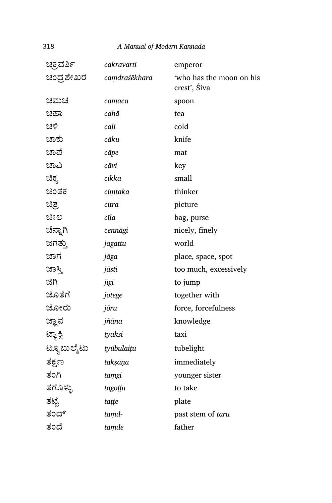| ಚಕ್ರವರ್ತಿ  | cakravarti    | emperor                                  |
|------------|---------------|------------------------------------------|
| ಚಂದ್ರಶೇಖರ  | camdraśēkhara | 'who has the moon on his<br>crest', Śiva |
| ಚಮಚ        | camaca        | spoon                                    |
| ಚಹಾ        | cahā          | tea                                      |
| ಚಳಿ        | cali          | cold                                     |
| ಚಾಕು       | cāku          | knife                                    |
| ಚಾಪೆ       | cāpe          | mat                                      |
| ಚಾವಿ       | cāvi          | key                                      |
| ಚಿಕ್ಕ      | cikka         | small                                    |
| ಚಿಂತಕ      | cimtaka       | thinker                                  |
| ಚಿತ್ರ      | citra         | picture                                  |
| ಚೀಲ        | cīla          | bag, purse                               |
| ಚೆನ್ನಾಗಿ   | cennāgi       | nicely, finely                           |
| ಜಗತ್ತು     | jagattu       | world                                    |
| ಜಾಗ        | jāga          | place, space, spot                       |
| ಜಾಸ್ತಿ     | jāsti         | too much, excessively                    |
| ಜಿಗಿ       | jigi          | to jump                                  |
| ಜೊತೆಗೆ     | jotege        | together with                            |
| ಜೋರು       | jōru          | force, forcefulness                      |
| ಜ್ಞಾನ      | jñāna         | knowledge                                |
| ಟ್ಯಾಕ್ಸಿ   | tyāksi        | taxi                                     |
| ಟ್ಯೂಬುಲೈಟು | tyūbulaitu    | tubelight                                |
| ತಕ್ಷಣ      | takṣaṇa       | immediately                              |
| ತಂಗಿ       | tamgi         | younger sister                           |
| ತಗೊಳ್ಳು    | tagoḷḷu       | to take                                  |
| ತಟ್ಟೆ      | tațțe         | plate                                    |
| ತಂದ್       | tamd-         | past stem of taru                        |
| ತಂದೆ       | tamde         | father                                   |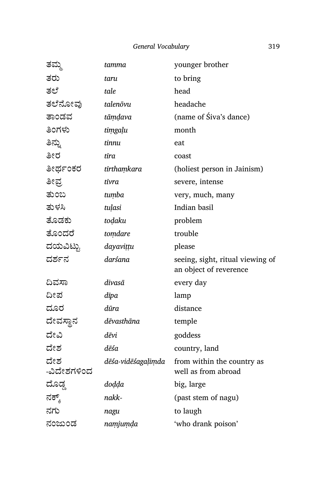| ತಮ್ಮ               | tamma              | younger brother                                            |
|--------------------|--------------------|------------------------------------------------------------|
| ತರು                | taru               | to bring                                                   |
| ತಲೆ                | tale               | head                                                       |
| ತಲೆನೋವು            | talenōvu           | headache                                                   |
| ತಾಂಡವ              | tāmdava            | (name of Siva's dance)                                     |
| ತಿಂಗಳು             | timgaļu            | month                                                      |
| ತಿನ್ನು             | tinnu              | eat                                                        |
| ತೀರ                | tīra               | coast                                                      |
| ತೀರ್ಥಂಕರ           | tīrthaṃkara        | (holiest person in Jainism)                                |
| ತೀಪ್ರ              | tīvra              | severe, intense                                            |
| ತುಂಬ               | tumba              | very, much, many                                           |
| ತುಳಸಿ              | tuļasi             | Indian basil                                               |
| ತೊಡಕು              | todaku             | problem                                                    |
| ತೊಂದರೆ             | tomdare            | trouble                                                    |
| ದಯವಿಟ್ಟು           | dayavițțu          | please                                                     |
| ದರ್ಶನ              | darśana            | seeing, sight, ritual viewing of<br>an object of reverence |
| ದಿವಸಾ              | divasā             | every day                                                  |
| ದೀಪ                | dīpa               | lamp                                                       |
| ದೂರ                | dūra               | distance                                                   |
| ದೇವಸ್ಥಾನ           | dēvasthāna         | temple                                                     |
| ದೇವಿ               | dēvi               | goddess                                                    |
| ದೇಶ                | dēśa               | country, land                                              |
| ದೇಶ<br>-ವಿದೇಶಗಳಿಂದ | dēśa-vidēśagaļimda | from within the country as<br>well as from abroad          |
| ದೊಡ್ಡ              | doḍḍa              | big, large                                                 |
| ನಕ್ಕ್              | nakk-              | (past stem of nagu)                                        |
| ನಗು                | nagu               | to laugh                                                   |
| ನಂಜುಂಡ             | namjumda           | 'who drank poison'                                         |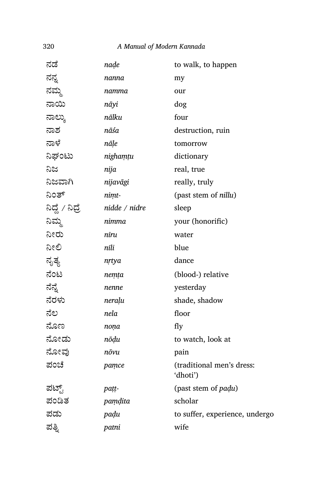| ನಡೆ             | nade          | to walk, to happen                    |
|-----------------|---------------|---------------------------------------|
| ನನ್ನ            | nanna         | my                                    |
| ನಮ್ಮ            | namma         | our                                   |
| ನಾಯಿ            | nāyi          | dog                                   |
| ನಾಲ್ಕು          | nālku         | four                                  |
| ನಾಶ             | nāśa          | destruction, ruin                     |
| ನಾಳೆ            | nāle          | tomorrow                              |
| ನಿಘಂಟು          | nighamtu      | dictionary                            |
| ನಿಜ             | nija          | real, true                            |
| ನಿಜವಾಗಿ         | nijavāgi      | really, truly                         |
| ನಿಂತ್           | nimt-         | (past stem of nillu)                  |
| ನಿದ್ದೆ / ನಿದ್ರೆ | nidde / nidre | sleep                                 |
| ನಿಮ್ಮ           | nimma         | your (honorific)                      |
| ನೀರು            | nīru          | water                                 |
| ನೀಲಿ            | nīli          | blue                                  |
| ನೃತ್ಯ           | nrtya         | dance                                 |
| ನೆಂಟ            | nemța         | (blood-) relative                     |
| ನೆನ್ನೆ          | nenne         | yesterday                             |
| ನೆರಳು           | neraļu        | shade, shadow                         |
| ನೆಲ             | nela          | floor                                 |
| ನೊಣ             | noņa          | fly                                   |
| ನೋಡು            | nōḍu          | to watch, look at                     |
| ನೋವು            | nōvu          | pain                                  |
| ಪಂಚೆ            | pamce         | (traditional men's dress:<br>'dhoti') |
| ಪಟ್ಟ್           | patt-         | (past stem of padu)                   |
| ಪಂಡಿತ           | pamdita       | scholar                               |
| ಪಡು             | padu          | to suffer, experience, undergo        |
| ಪತ್ನಿ           | patni         | wife                                  |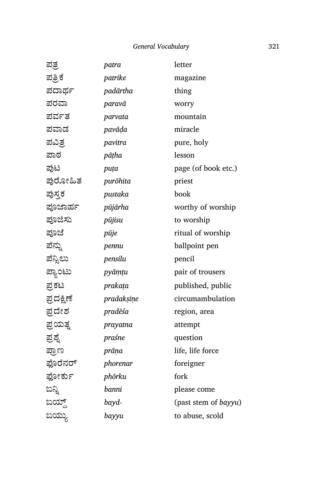| patrike<br>padārtha<br>paravā<br>parvata<br>pavāḍa | magazine<br>thing<br>worry<br>mountain<br>miracle |
|----------------------------------------------------|---------------------------------------------------|
|                                                    |                                                   |
|                                                    |                                                   |
|                                                    |                                                   |
|                                                    |                                                   |
|                                                    |                                                   |
|                                                    | pure, holy                                        |
| pāṭha                                              | lesson                                            |
| puța                                               | page (of book etc.)                               |
| purōhita                                           | priest                                            |
| pustaka                                            | book                                              |
| pūjārha                                            | worthy of worship                                 |
| pūjisu                                             | to worship                                        |
| pūje                                               | ritual of worship                                 |
| pennu                                              | ballpoint pen                                     |
| pensilu                                            | pencil                                            |
| pyāmțu                                             | pair of trousers                                  |
| prakața                                            | published, public                                 |
| pradaksine                                         | circumambulation                                  |
| pradēśa                                            | region, area                                      |
| prayatna                                           | attempt                                           |
| praśne                                             | question                                          |
| prāņa                                              | life, life force                                  |
| phorenar                                           | foreigner                                         |
| phōrku                                             | fork                                              |
| banni                                              | please come                                       |
| bayd-                                              | (past stem of bayyu)                              |
| bayyu                                              | to abuse, scold                                   |
|                                                    | pavitra                                           |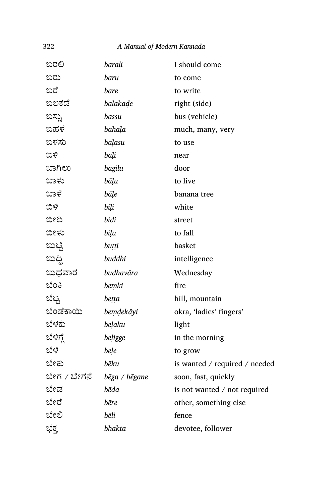| ಬರಲಿ        | barali        | I should come                 |
|-------------|---------------|-------------------------------|
| ಬರು         | baru          | to come                       |
| ಬರೆ         | bare          | to write                      |
| ಬಲಕಡೆ       | balakade      | right (side)                  |
| ಬಸ್ಸು       | bassu         | bus (vehicle)                 |
| ಬಹಳ         | bahala        | much, many, very              |
| ಬಳಸು        | balasu        | to use                        |
| ಬಳಿ         | bali          | near                          |
| ಬಾಗಿಲು      | bāgilu        | door                          |
| ಬಾಳು        | bāļu          | to live                       |
| ಬಾಳೆ        | bāļe          | banana tree                   |
| ಬಿಳಿ        | bili          | white                         |
| ಬೀದಿ        | bīdi          | street                        |
| ಬೀಳು        | bīļu          | to fall                       |
| ಬುಟ್ಟಿ      | buțți         | basket                        |
| ಬುದ್ದಿ      | buddhi        | intelligence                  |
| ಬುಧವಾರ      | budhavāra     | Wednesday                     |
| ಬೆಂಕಿ       | bemki         | fire                          |
| ಬೆಟ್ಟ       | bețța         | hill, mountain                |
| ಬೆಂಡೆಕಾಯಿ   | bemdekāyi     | okra, 'ladies' fingers'       |
| ಬೆಳಕು       | belaku        | light                         |
| ಬೆಳಿಗ್      | beligge       | in the morning                |
| ಬೆಳೆ        | bele          | to grow                       |
| ಬೇಕು        | bēku          | is wanted / required / needed |
| ಬೇಗ / ಬೇಗನೆ | bēga / bēgane | soon, fast, quickly           |
| ಬೇಡ         | bēda          | is not wanted / not required  |
| ಬೇರೆ        | bēre          | other, something else         |
| ಬೇಲಿ        | bēli          | fence                         |
| ಭಕ್ತ        | bhakta        | devotee, follower             |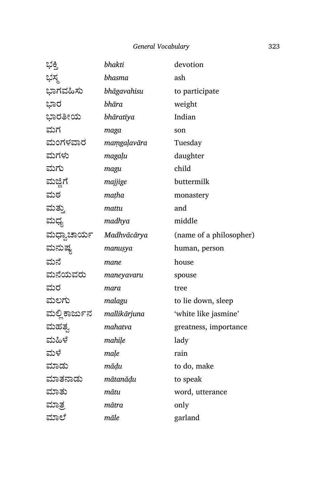| ಭಕ್ತಿ         | bhakti       | devotion                |
|---------------|--------------|-------------------------|
| ಭಸ್ಮ          | bhasma       | ash                     |
| ಭಾಗವಹಿಸು      | bhāgavahisu  | to participate          |
| ಭಾರ           | bhāra        | weight                  |
| ಭಾರತೀಯ        | bhāratīya    | Indian                  |
| ಮಗ            | maga         | son                     |
| ಮಂಗಳವಾರ       | maṃgaḷavāra  | Tuesday                 |
| ಮಗಳು          | magaļu       | daughter                |
| ಮಗು           | magu         | child                   |
| ಮಜ್ಜಿಗೆ       | majjige      | buttermilk              |
| ಮಠ            | maṭha        | monastery               |
| ಮತ್ತು         | mattu        | and                     |
| ಮಧ್ಯ          | madhya       | middle                  |
| ಮಧ್ವಾಚಾರ್ಯ    | Madhvācārya  | (name of a philosopher) |
| ಮನುಷ್ಯ        | manusya      | human, person           |
| ಮನೆ           | mane         | house                   |
| ಮನೆಯವರು       | maneyavaru   | spouse                  |
| ಮರ            | mara         | tree                    |
| ಮಲಗು          | malagu       | to lie down, sleep      |
| ಮಲ್ಲಿ ಕಾರ್ಜುನ | mallikārjuna | 'white like jasmine'    |
| ಮಹತ್ನ         | mahatva      | greatness, importance   |
| ಮಹಿಳೆ         | mahile       | lady                    |
| ಮಳೆ           | maļe         | rain                    |
| ಮಾಡು          | māḍu         | to do, make             |
| ಮಾತನಾಡು       | mātanādu     | to speak                |
| ಮಾತು          | mātu         | word, utterance         |
| ಮಾತ್ರ         | mātra        | only                    |
| ಮಾಲೆ          | māle         | garland                 |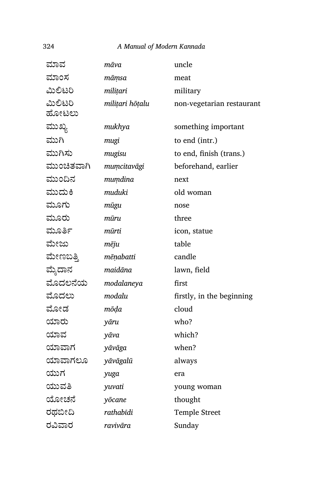| ಮಾವ        | māva            | uncle                     |
|------------|-----------------|---------------------------|
| ಮಾಂಸ       | māmsa           | meat                      |
| ಮಿಲಿಟರಿ    | militari        | military                  |
| ಮಿಲಿಟರಿ    | milițari hōțalu | non-vegetarian restaurant |
| ಹೋಟಲು      |                 |                           |
| ಮುಖ್ಯ      | mukhya          | something important       |
| ಮುಗಿ       | mugi            | to end (intr.)            |
| ಮುಗಿಸು     | mugisu          | to end, finish (trans.)   |
| ಮುಂಚಿತವಾಗಿ | mumcitavāgi     | beforehand, earlier       |
| ಮುಂದಿನ     | mumdina         | next                      |
| ಮುದುಕಿ     | muduki          | old woman                 |
| ಮೂಗು       | mūgu            | nose                      |
| ಮೂರು       | mūru            | three                     |
| ಮೂರ್ತಿ     | mūrti           | icon, statue              |
| ಮೇಜು       | mēju            | table                     |
| ಮೇಣಬತ್ತಿ   | mēņabatti       | candle                    |
| ಮ್ಮೆದಾನ    | maidāna         | lawn, field               |
| ಮೊದಲನೆಯ    | modalaneya      | first                     |
| ಮೊದಲು      | modalu          | firstly, in the beginning |
| ಮೋಡ        | mōḍa            | cloud                     |
| ಯಾರು       | yāru            | who?                      |
| ಯಾವ        | yāva            | which?                    |
| ಯಾವಾಗ      | yāvāga          | when?                     |
| ಯಾವಾಗಲೂ    | yāvāgalū        | always                    |
| ಯುಗ        | yuga            | era                       |
| ಯುವತಿ      | yuvati          | young woman               |
| ಯೋಚನೆ      | yōcane          | thought                   |
| ರಥಬೀದಿ     | rathabīdi       | <b>Temple Street</b>      |
| ರವಿವಾರ     | ravivāra        | Sunday                    |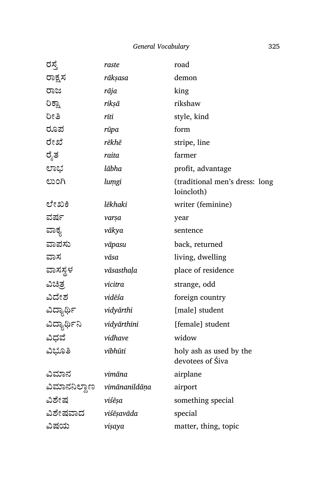| ರಸ್ತೆ                      | raste       | road                                         |
|----------------------------|-------------|----------------------------------------------|
| ರಾಕ್ಷಸ                     | rākṣasa     | demon                                        |
| ರಾಜ                        | rāja        | king                                         |
| ರಿಕ್ಷಾ                     | rikṣā       | rikshaw                                      |
| ರೀತಿ                       | rīti        | style, kind                                  |
| ರೂಪ                        | rūpa        | form                                         |
| ರೇಖೆ                       | rēkhē       | stripe, line                                 |
| ರೈತ                        | raita       | farmer                                       |
| ಲಾಭ                        | lābha       | profit, advantage                            |
| ಲುಂಗಿ                      | lumgi       | (traditional men's dress: long<br>loincloth) |
| ಲೇಖಕಿ                      | lēkhaki     | writer (feminine)                            |
| ವರ್ಷ                       | varșa       | year                                         |
| ವಾಕ್ಯ                      | vākya       | sentence                                     |
| ವಾಪಸು                      | vāpasu      | back, returned                               |
| ವಾಸ                        | vāsa        | living, dwelling                             |
| ವಾಸಸ್ಥಳ                    | vāsasthaļa  | place of residence                           |
| ವಿಚಿತ್ರ                    | vicitra     | strange, odd                                 |
| ವಿದೇಶ                      | vidēśa      | foreign country                              |
| ವಿದ್ಯಾರ್ಥಿ                 | vidyārthi   | [male] student                               |
| ವಿದ್ಯಾರ್ಥಿನಿ               | vidyārthini | [female] student                             |
| ವಿಧವೆ                      | vidhave     | widow                                        |
| ವಿಭೂತಿ                     | vibhūti     | holy ash as used by the<br>devotees of Siva  |
| ವಿಮಾನ                      | vimāna      | airplane                                     |
| ವಿಮಾನನಿಲ್ದಾಣ vimānanildāņa |             | airport                                      |
| ವಿಶೇಷ                      | viśēsa      | something special                            |
| ವಿಶೇಷವಾದ                   | viśēṣavāda  | special                                      |
| ವಿಷಯ                       | vişaya      | matter, thing, topic                         |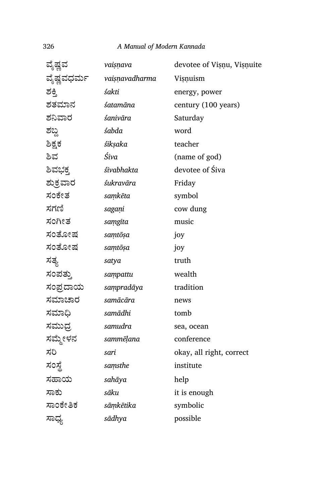| ವೈಷ್ಣವ     | vaiṣṇava       | devotee of Vișnu, Vișnuite |
|------------|----------------|----------------------------|
| ವೈಷ್ಣವಧರ್ಮ | vaisnavadharma | Visnuism                   |
| ಶಕ್ತಿ      | śakti          | energy, power              |
| ಶತಮಾನ      | śatamāna       | century (100 years)        |
| ಶನಿವಾರ     | śanivāra       | Saturday                   |
| ಶಬ್ದ       | śabda          | word                       |
| ಶಿಕ್ಷಕ     | śikṣaka        | teacher                    |
| ಶಿವ        | Śiva           | (name of god)              |
| ಶಿವಭಕ್ತ    | śivabhakta     | devotee of Siva            |
| ಶುಕ್ರವಾರ   | śukravāra      | Friday                     |
| ಸಂಕೇತ      | saṃkēta        | symbol                     |
| ಸಗಣಿ       | sagani         | cow dung                   |
| ಸಂಗೀತ      | samgita        | music                      |
| ಸಂತೋಷ      | samtōṣa        | joy                        |
| ಸಂತೋಷ      | samtōṣa        | joy                        |
| ಸತ್ಯ       | satya          | truth                      |
| ಸಂಪತ್ತು    | sampattu       | wealth                     |
| ಸಂಪ್ರದಾಯ   | sampradāya     | tradition                  |
| ಸಮಾಚಾರ     | samācāra       | news                       |
| ಸಮಾಧಿ      | samādhi        | tomb                       |
| ಸಮುಧ್ರ     | samudra        | sea, ocean                 |
| ಸಮ್ಮೇಳನ    | sammēļana      | conference                 |
| ಸರಿ        | sari           | okay, all right, correct   |
| ಸಂಸ್ಥೆ     | saṃsthe        | institute                  |
| ಸಹಾಯ       | sahāya         | help                       |
| ಸಾಕು       | sāku           | it is enough               |
| ಸಾಂಕೇತಿಕ   | sāṃkētika      | symbolic                   |
| ಸಾಧ್ಯ      | sādhya         | possible                   |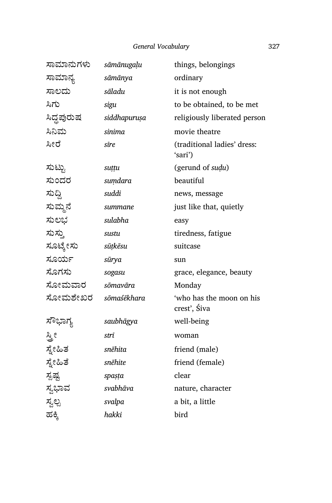| ಸಾಮಾನುಗಳು  | sāmānugaļu   | things, belongings                       |
|------------|--------------|------------------------------------------|
| ಸಾಮಾನ್ಯ    | sāmānya      | ordinary                                 |
| ಸಾಲದು      | sāladu       | it is not enough                         |
| ಸಿಗು       | sigu         | to be obtained, to be met                |
| ಸಿದ್ದಪುರುಷ | siddhapuruşa | religiously liberated person             |
| ಸಿನಿಮ      | sinima       | movie theatre                            |
| ಸೀರೆ       | sīre         | (traditional ladies' dress:<br>'sari')   |
| ಸುಟ್ಟು     | suțțu        | (gerund of sudu)                         |
| ಸುಂದರ      | sumdara      | beautiful                                |
| ಸುದ್ದಿ     | suddi        | news, message                            |
| ಸುಮ್ಮನೆ    | summane      | just like that, quietly                  |
| ಸುಲಭ       | sulabha      | easy                                     |
| ಸುಸ್ತು     | sustu        | tiredness, fatigue                       |
| ಸೂಟ್ಕೇಸು   | sūṭkēsu      | suitcase                                 |
| ಸೂರ್ಯ      | sūrya        | sun                                      |
| ಸೊಗಸು      | sogasu       | grace, elegance, beauty                  |
| ಸೋಮವಾರ     | sōmavāra     | Monday                                   |
| ಸೋಮಶೇಖರ    | sōmaśēkhara  | 'who has the moon on his<br>crest', Śiva |
| ಸೌಭಾಗ್ಯ    | saubhāgya    | well-being                               |
| ಸ್ತೀ       | strī         | woman                                    |
| ಸ್ನೇಹಿತ    | snēhita      | friend (male)                            |
| ಸ್ನೇಹಿತೆ   | snēhite      | friend (female)                          |
| ಸ್ಪಷ್ಟ     | spaṣṭa       | clear                                    |
| ಸ್ವಭಾವ     | svabhāva     | nature, character                        |
| ಸ್ವಲ್ಪ     | svalpa       | a bit, a little                          |
| ಹಕ್ಕಿ      | hakki        | bird                                     |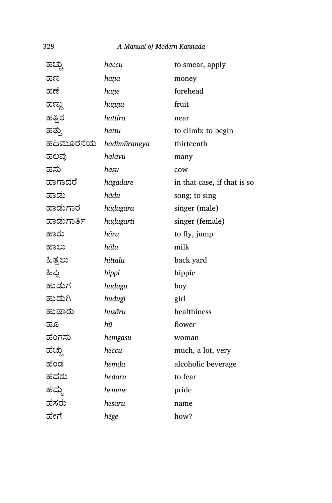| ಹಚ್ಚು      | haccu        | to smear, apply             |
|------------|--------------|-----------------------------|
| ಹಣ         | hana         | money                       |
| ಹಣೆ        | hane         | forehead                    |
| ಹಣ್ಣು      | haṇṇu        | fruit                       |
| ಹತ್ತಿರ     | hattira      | near                        |
| ಹತ್ತು      | hattu        | to climb; to begin          |
| ಹದಿಮೂರನೆಯ  | hadimūraneya | thirteenth                  |
| ಹಲವು       | halavu       | many                        |
| ಹಸು        | hasu         | cow                         |
| ಹಾಗಾದರೆ    | hāgādare     | in that case, if that is so |
| ಹಾಡು       | hādu         | song; to sing               |
| ಹಾಡುಗಾರ    | hāḍugāra     | singer (male)               |
| ಹಾಡುಗಾರ್ತಿ | hāḍugārti    | singer (female)             |
| ಹಾರು       | hāru         | to fly, jump                |
| ಹಾಲು       | hālu         | milk                        |
| ಹಿತ್ತಲು    | hittalu      | back yard                   |
| ಹಿಪ್ಪಿ     | hippi        | hippie                      |
| ಹುಡುಗ      | huduga       | boy                         |
| ಹುಡುಗಿ     | hudugi       | girl                        |
| ಹುಷಾರು     | huşāru       | healthiness                 |
| ಹೂ         | hū           | flower                      |
| ಹೆಂಗಸು     | hemgasu      | woman                       |
| ಹೆಚ್ಚು     | heccu        | much, a lot, very           |
| ಹೆಂಡ       | hemda        | alcoholic beverage          |
| ಹೆದರು      | hedaru       | to fear                     |
| ಹೆಮ್ಮೆ     | hemme        | pride                       |
| ಹೆಸರು      | hesaru       | name                        |
| ಹೇಗೆ       | hēge         | how?                        |
|            |              |                             |